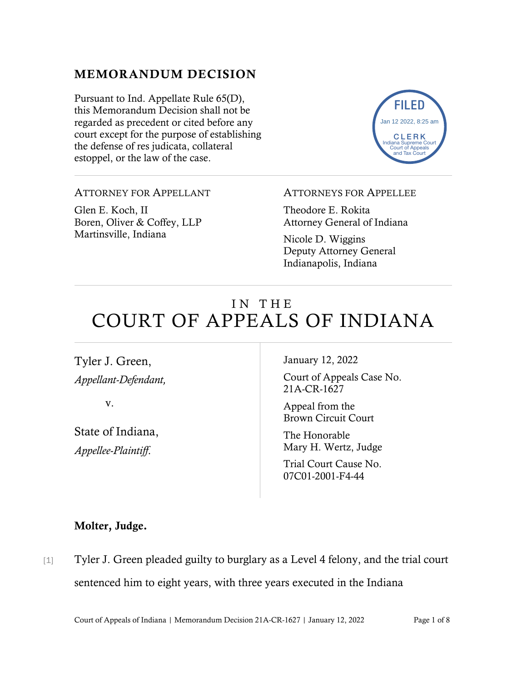# MEMORANDUM DECISION

Pursuant to Ind. Appellate Rule 65(D), this Memorandum Decision shall not be regarded as precedent or cited before any court except for the purpose of establishing the defense of res judicata, collateral estoppel, or the law of the case.



### ATTORNEY FOR APPELLANT

Glen E. Koch, II Boren, Oliver & Coffey, LLP Martinsville, Indiana

#### ATTORNEYS FOR APPELLEE

Theodore E. Rokita Attorney General of Indiana

Nicole D. Wiggins Deputy Attorney General Indianapolis, Indiana

# IN THE COURT OF APPEALS OF INDIANA

Tyler J. Green, *Appellant-Defendant,*

v.

State of Indiana, *Appellee-Plaintiff*.

January 12, 2022

Court of Appeals Case No. 21A-CR-1627

Appeal from the Brown Circuit Court

The Honorable Mary H. Wertz, Judge

Trial Court Cause No. 07C01-2001-F4-44

## Molter, Judge.

[1] Tyler J. Green pleaded guilty to burglary as a Level 4 felony, and the trial court sentenced him to eight years, with three years executed in the Indiana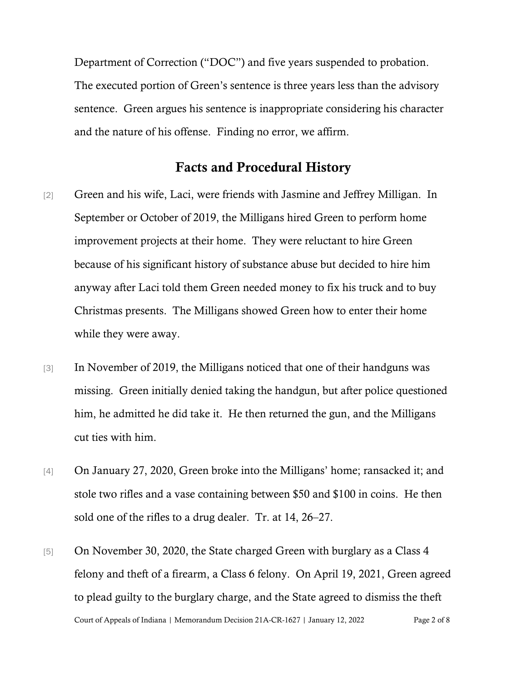Department of Correction ("DOC") and five years suspended to probation. The executed portion of Green's sentence is three years less than the advisory sentence. Green argues his sentence is inappropriate considering his character and the nature of his offense. Finding no error, we affirm.

## Facts and Procedural History

- [2] Green and his wife, Laci, were friends with Jasmine and Jeffrey Milligan. In September or October of 2019, the Milligans hired Green to perform home improvement projects at their home. They were reluctant to hire Green because of his significant history of substance abuse but decided to hire him anyway after Laci told them Green needed money to fix his truck and to buy Christmas presents. The Milligans showed Green how to enter their home while they were away.
- [3] In November of 2019, the Milligans noticed that one of their handguns was missing. Green initially denied taking the handgun, but after police questioned him, he admitted he did take it. He then returned the gun, and the Milligans cut ties with him.
- [4] On January 27, 2020, Green broke into the Milligans' home; ransacked it; and stole two rifles and a vase containing between \$50 and \$100 in coins. He then sold one of the rifles to a drug dealer. Tr. at 14, 26–27.
- Court of Appeals of Indiana | Memorandum Decision 21A-CR-1627 | January 12, 2022 Page 2 of 8 [5] On November 30, 2020, the State charged Green with burglary as a Class 4 felony and theft of a firearm, a Class 6 felony. On April 19, 2021, Green agreed to plead guilty to the burglary charge, and the State agreed to dismiss the theft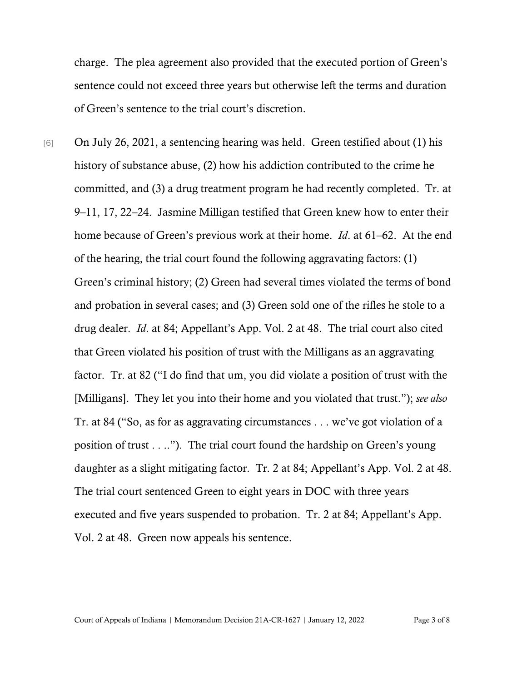charge. The plea agreement also provided that the executed portion of Green's sentence could not exceed three years but otherwise left the terms and duration of Green's sentence to the trial court's discretion.

[6] On July 26, 2021, a sentencing hearing was held. Green testified about (1) his history of substance abuse, (2) how his addiction contributed to the crime he committed, and (3) a drug treatment program he had recently completed. Tr. at 9–11, 17, 22–24. Jasmine Milligan testified that Green knew how to enter their home because of Green's previous work at their home. *Id*. at 61–62. At the end of the hearing, the trial court found the following aggravating factors: (1) Green's criminal history; (2) Green had several times violated the terms of bond and probation in several cases; and (3) Green sold one of the rifles he stole to a drug dealer. *Id*. at 84; Appellant's App. Vol. 2 at 48. The trial court also cited that Green violated his position of trust with the Milligans as an aggravating factor. Tr. at 82 ("I do find that um, you did violate a position of trust with the [Milligans]. They let you into their home and you violated that trust."); *see also* Tr. at 84 ("So, as for as aggravating circumstances . . . we've got violation of a position of trust . . .."). The trial court found the hardship on Green's young daughter as a slight mitigating factor. Tr. 2 at 84; Appellant's App. Vol. 2 at 48. The trial court sentenced Green to eight years in DOC with three years executed and five years suspended to probation. Tr. 2 at 84; Appellant's App. Vol. 2 at 48. Green now appeals his sentence.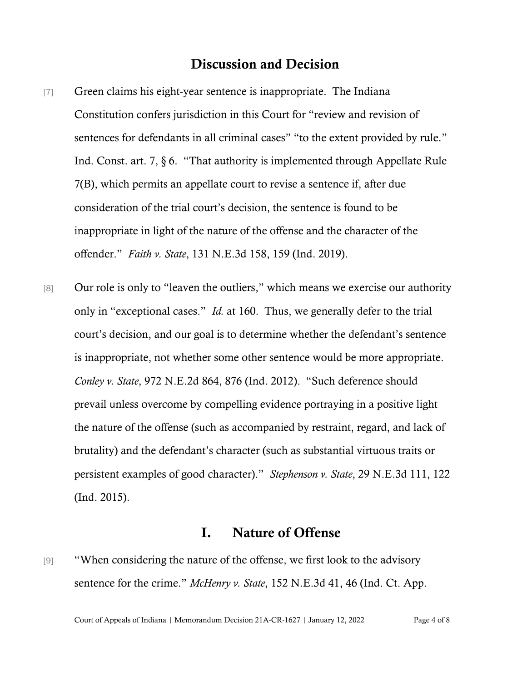## Discussion and Decision

- [7] Green claims his eight-year sentence is inappropriate. The Indiana Constitution confers jurisdiction in this Court for "review and revision of sentences for defendants in all criminal cases" "to the extent provided by rule." Ind. Const. art. 7, § 6. "That authority is implemented through Appellate Rule 7(B), which permits an appellate court to revise a sentence if, after due consideration of the trial court's decision, the sentence is found to be inappropriate in light of the nature of the offense and the character of the offender." *Faith v. State*, 131 N.E.3d 158, 159 (Ind. 2019).
- [8] Our role is only to "leaven the outliers," which means we exercise our authority only in "exceptional cases." *Id.* at 160. Thus, we generally defer to the trial court's decision, and our goal is to determine whether the defendant's sentence is inappropriate, not whether some other sentence would be more appropriate. *Conley v. State*, 972 N.E.2d 864, 876 (Ind. 2012). "Such deference should prevail unless overcome by compelling evidence portraying in a positive light the nature of the offense (such as accompanied by restraint, regard, and lack of brutality) and the defendant's character (such as substantial virtuous traits or persistent examples of good character)." *Stephenson v. State*, 29 N.E.3d 111, 122 (Ind. 2015).

## I. Nature of Offense

[9] "When considering the nature of the offense, we first look to the advisory sentence for the crime." *McHenry v. State*, 152 N.E.3d 41, 46 (Ind. Ct. App.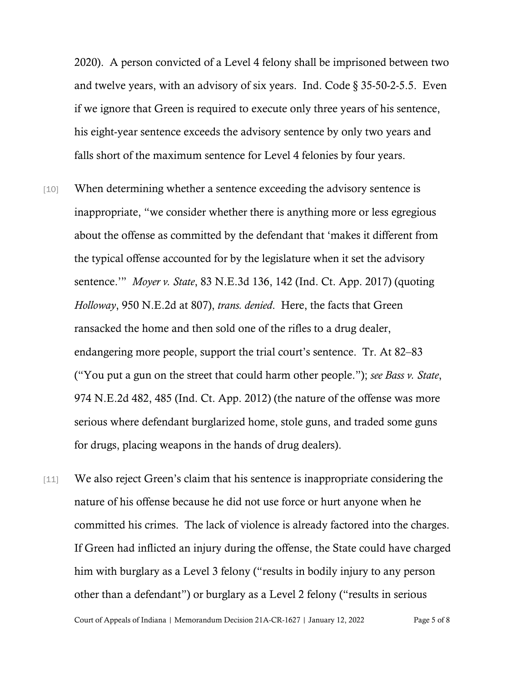2020). A person convicted of a Level 4 felony shall be imprisoned between two and twelve years, with an advisory of six years. Ind. Code § 35-50-2-5.5. Even if we ignore that Green is required to execute only three years of his sentence, his eight-year sentence exceeds the advisory sentence by only two years and falls short of the maximum sentence for Level 4 felonies by four years.

- [10] When determining whether a sentence exceeding the advisory sentence is inappropriate, "we consider whether there is anything more or less egregious about the offense as committed by the defendant that 'makes it different from the typical offense accounted for by the legislature when it set the advisory sentence.'" *Moyer v. State*, 83 N.E.3d 136, 142 (Ind. Ct. App. 2017) (quoting *Holloway*, 950 N.E.2d at 807), *trans. denied*. Here, the facts that Green ransacked the home and then sold one of the rifles to a drug dealer, endangering more people, support the trial court's sentence. Tr. At 82–83 ("You put a gun on the street that could harm other people."); *see Bass v. State*, 974 N.E.2d 482, 485 (Ind. Ct. App. 2012) (the nature of the offense was more serious where defendant burglarized home, stole guns, and traded some guns for drugs, placing weapons in the hands of drug dealers).
- [11] We also reject Green's claim that his sentence is inappropriate considering the nature of his offense because he did not use force or hurt anyone when he committed his crimes. The lack of violence is already factored into the charges. If Green had inflicted an injury during the offense, the State could have charged him with burglary as a Level 3 felony ("results in bodily injury to any person other than a defendant") or burglary as a Level 2 felony ("results in serious

Court of Appeals of Indiana | Memorandum Decision 21A-CR-1627 | January 12, 2022 Page 5 of 8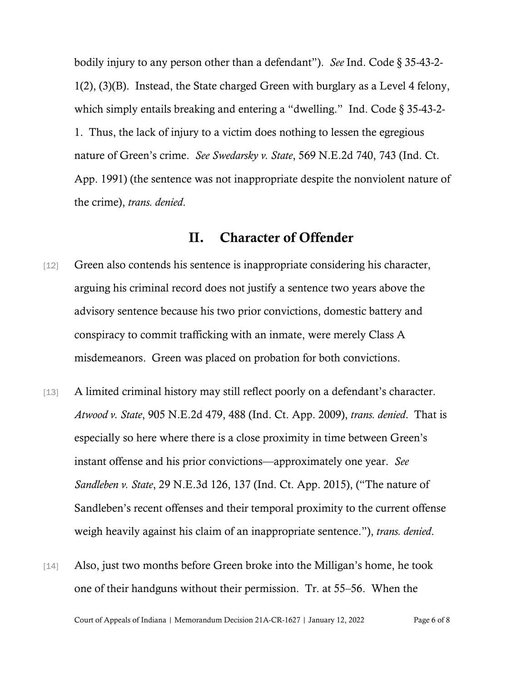bodily injury to any person other than a defendant"). *See* Ind. Code § 35-43-2- 1(2), (3)(B). Instead, the State charged Green with burglary as a Level 4 felony, which simply entails breaking and entering a "dwelling." Ind. Code § 35-43-2-1. Thus, the lack of injury to a victim does nothing to lessen the egregious nature of Green's crime. *See Swedarsky v. State*, 569 N.E.2d 740, 743 (Ind. Ct. App. 1991) (the sentence was not inappropriate despite the nonviolent nature of the crime), *trans. denied*.

## II. Character of Offender

- [12] Green also contends his sentence is inappropriate considering his character, arguing his criminal record does not justify a sentence two years above the advisory sentence because his two prior convictions, domestic battery and conspiracy to commit trafficking with an inmate, were merely Class A misdemeanors. Green was placed on probation for both convictions.
- [13] A limited criminal history may still reflect poorly on a defendant's character. *Atwood v. State*, 905 N.E.2d 479, 488 (Ind. Ct. App. 2009), *trans. denied*. That is especially so here where there is a close proximity in time between Green's instant offense and his prior convictions—approximately one year. *See Sandleben v. State*, 29 N.E.3d 126, 137 (Ind. Ct. App. 2015), ("The nature of Sandleben's recent offenses and their temporal proximity to the current offense weigh heavily against his claim of an inappropriate sentence."), *trans. denied*.
- [14] Also, just two months before Green broke into the Milligan's home, he took one of their handguns without their permission. Tr. at 55–56. When the

Court of Appeals of Indiana | Memorandum Decision 21A-CR-1627 | January 12, 2022 Page 6 of 8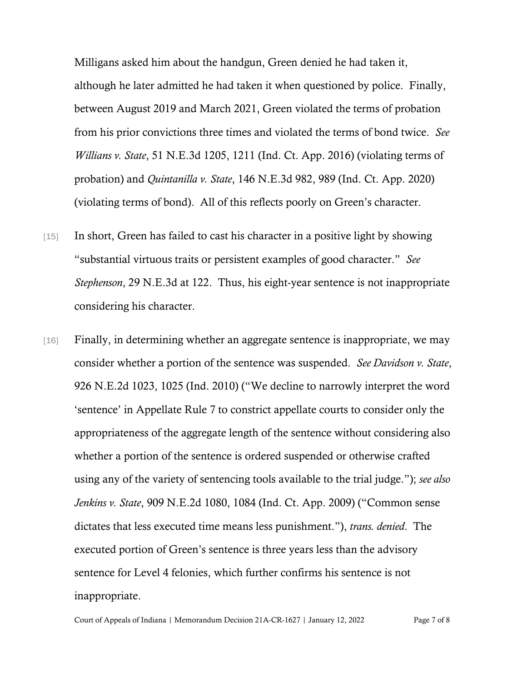Milligans asked him about the handgun, Green denied he had taken it, although he later admitted he had taken it when questioned by police. Finally, between August 2019 and March 2021, Green violated the terms of probation from his prior convictions three times and violated the terms of bond twice. *See Willians v. State*, 51 N.E.3d 1205, 1211 (Ind. Ct. App. 2016) (violating terms of probation) and *Quintanilla v. State*, 146 N.E.3d 982, 989 (Ind. Ct. App. 2020) (violating terms of bond). All of this reflects poorly on Green's character.

- [15] In short, Green has failed to cast his character in a positive light by showing "substantial virtuous traits or persistent examples of good character." *See Stephenson*, 29 N.E.3d at 122. Thus, his eight-year sentence is not inappropriate considering his character.
- [16] Finally, in determining whether an aggregate sentence is inappropriate, we may consider whether a portion of the sentence was suspended. *See Davidson v. State*, 926 N.E.2d 1023, 1025 (Ind. 2010) ("We decline to narrowly interpret the word 'sentence' in Appellate Rule 7 to constrict appellate courts to consider only the appropriateness of the aggregate length of the sentence without considering also whether a portion of the sentence is ordered suspended or otherwise crafted using any of the variety of sentencing tools available to the trial judge."); *see also Jenkins v. State*, 909 N.E.2d 1080, 1084 (Ind. Ct. App. 2009) ("Common sense dictates that less executed time means less punishment."), *trans. denied*. The executed portion of Green's sentence is three years less than the advisory sentence for Level 4 felonies, which further confirms his sentence is not inappropriate.

Court of Appeals of Indiana | Memorandum Decision 21A-CR-1627 | January 12, 2022 Page 7 of 8